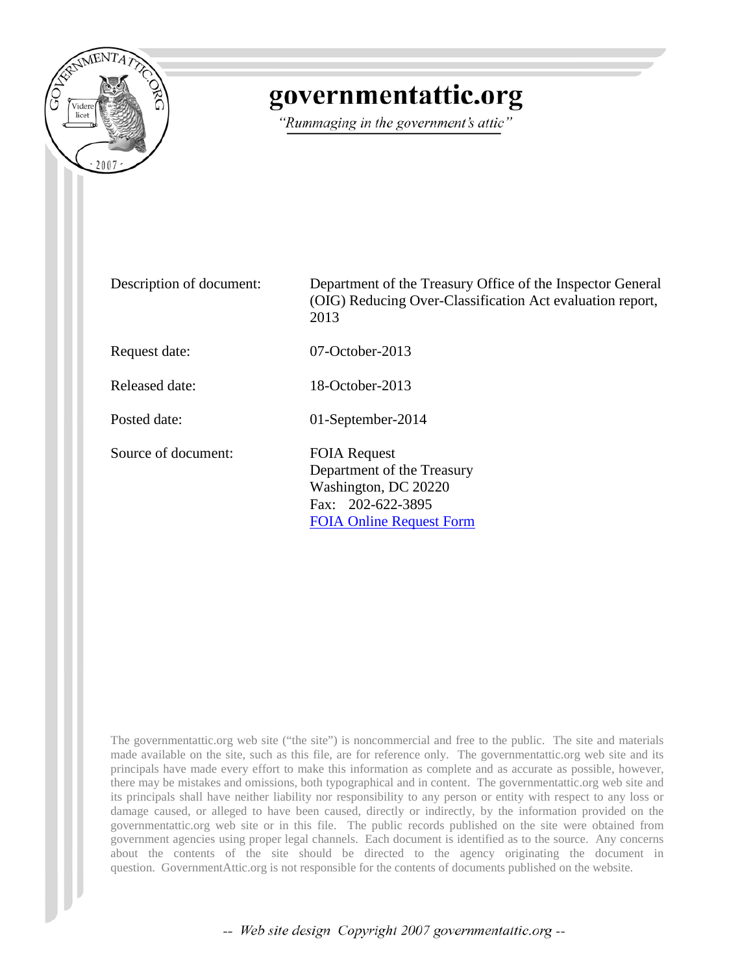

## governmentattic.org

"Rummaging in the government's attic"

| Description of document: | Department of the Treasury Office of the Inspector General<br>(OIG) Reducing Over-Classification Act evaluation report,<br>2013   |
|--------------------------|-----------------------------------------------------------------------------------------------------------------------------------|
| Request date:            | 07-October-2013                                                                                                                   |
| Released date:           | 18-October-2013                                                                                                                   |
| Posted date:             | 01-September-2014                                                                                                                 |
| Source of document:      | <b>FOIA Request</b><br>Department of the Treasury<br>Washington, DC 20220<br>Fax: 202-622-3895<br><b>FOIA Online Request Form</b> |

The governmentattic.org web site ("the site") is noncommercial and free to the public. The site and materials made available on the site, such as this file, are for reference only. The governmentattic.org web site and its principals have made every effort to make this information as complete and as accurate as possible, however, there may be mistakes and omissions, both typographical and in content. The governmentattic.org web site and its principals shall have neither liability nor responsibility to any person or entity with respect to any loss or damage caused, or alleged to have been caused, directly or indirectly, by the information provided on the governmentattic.org web site or in this file. The public records published on the site were obtained from government agencies using proper legal channels. Each document is identified as to the source. Any concerns about the contents of the site should be directed to the agency originating the document in question. GovernmentAttic.org is not responsible for the contents of documents published on the website.

-- Web site design Copyright 2007 governmentattic.org --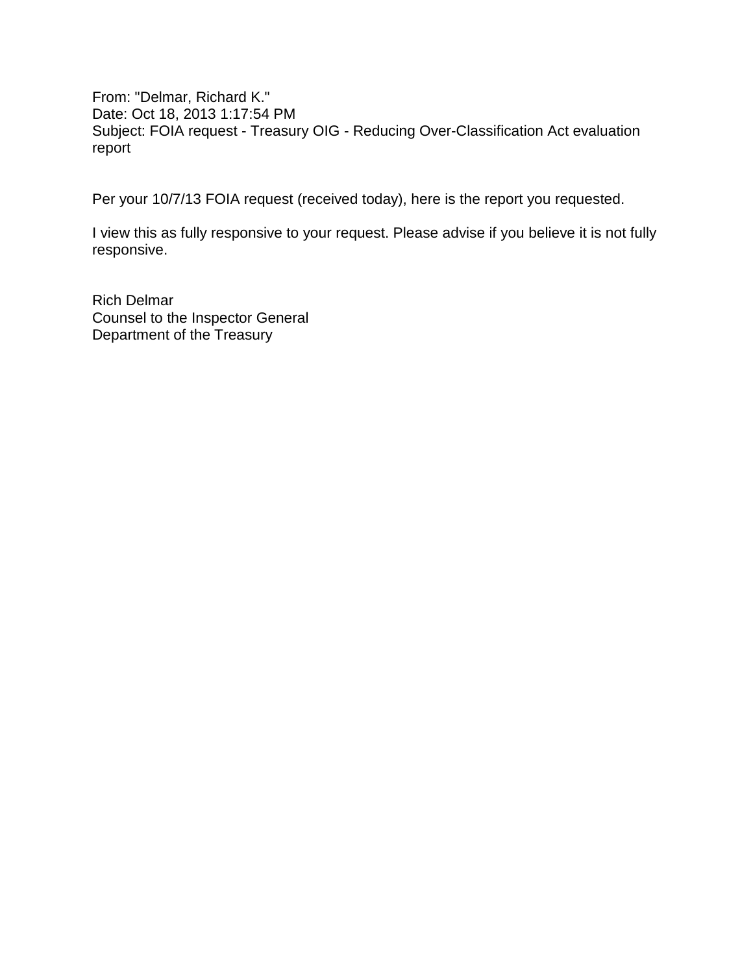From: "Delmar, Richard K." Date: Oct 18, 2013 1:17:54 PM Subject: FOIA request - Treasury OIG - Reducing Over-Classification Act evaluation report

Per your 10/7/13 FOIA request (received today), here is the report you requested.

I view this as fully responsive to your request. Please advise if you believe it is not fully responsive.

Rich Delmar Counsel to the Inspector General Department of the Treasury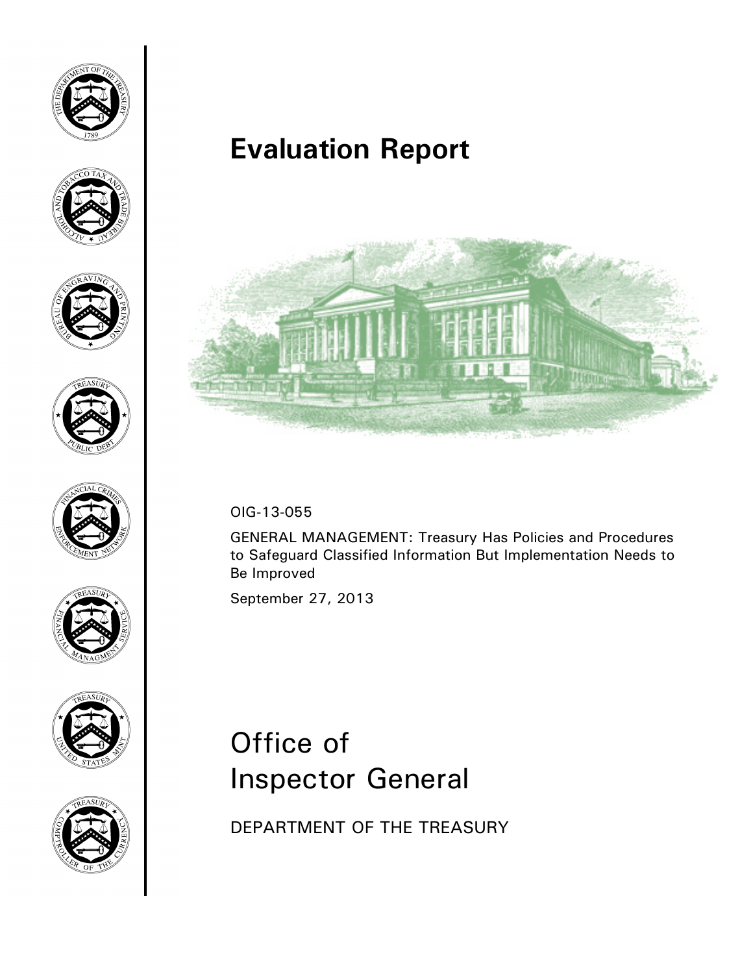















# **Evaluation Report**



OIG-13-055

GENERAL MANAGEMENT: Treasury Has Policies and Procedures to Safeguard Classified Information But Implementation Needs to Be Improved

September 27, 2013

# Office of Inspector General

DEPARTMENT OF THE TREASURY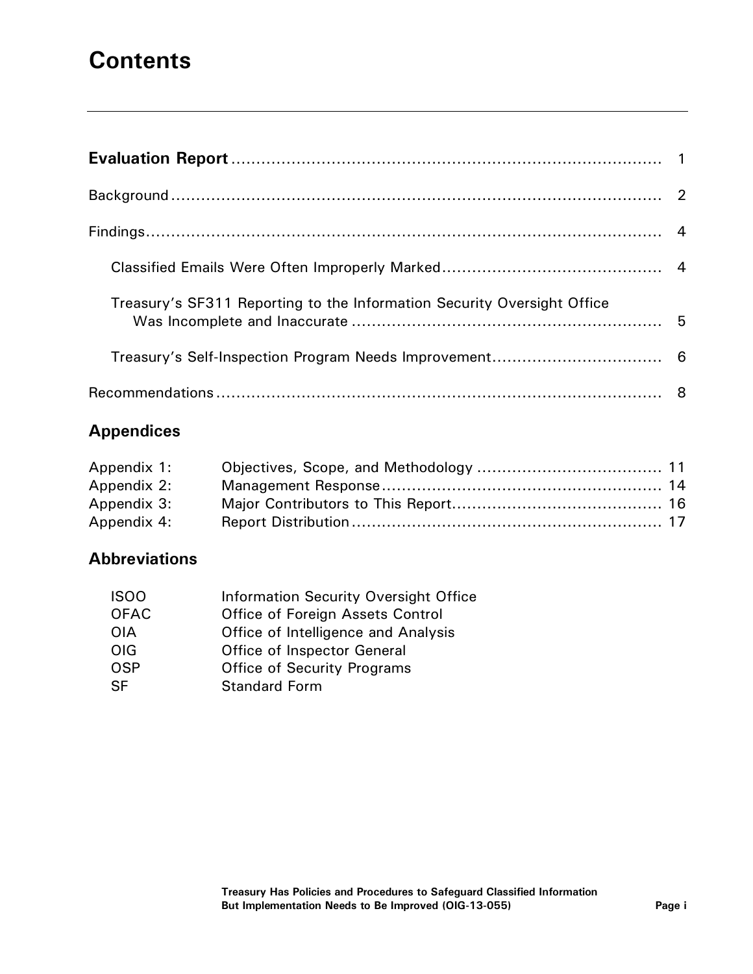### **Contents**

| Treasury's SF311 Reporting to the Information Security Oversight Office |  |
|-------------------------------------------------------------------------|--|
|                                                                         |  |
|                                                                         |  |

#### **Appendices**

| Appendix 1: |  |
|-------------|--|
| Appendix 2: |  |
| Appendix 3: |  |
| Appendix 4: |  |

#### **Abbreviations**

| <b>Information Security Oversight Office</b> |
|----------------------------------------------|
| Office of Foreign Assets Control             |
| Office of Intelligence and Analysis          |
| <b>Office of Inspector General</b>           |
| <b>Office of Security Programs</b>           |
| <b>Standard Form</b>                         |
|                                              |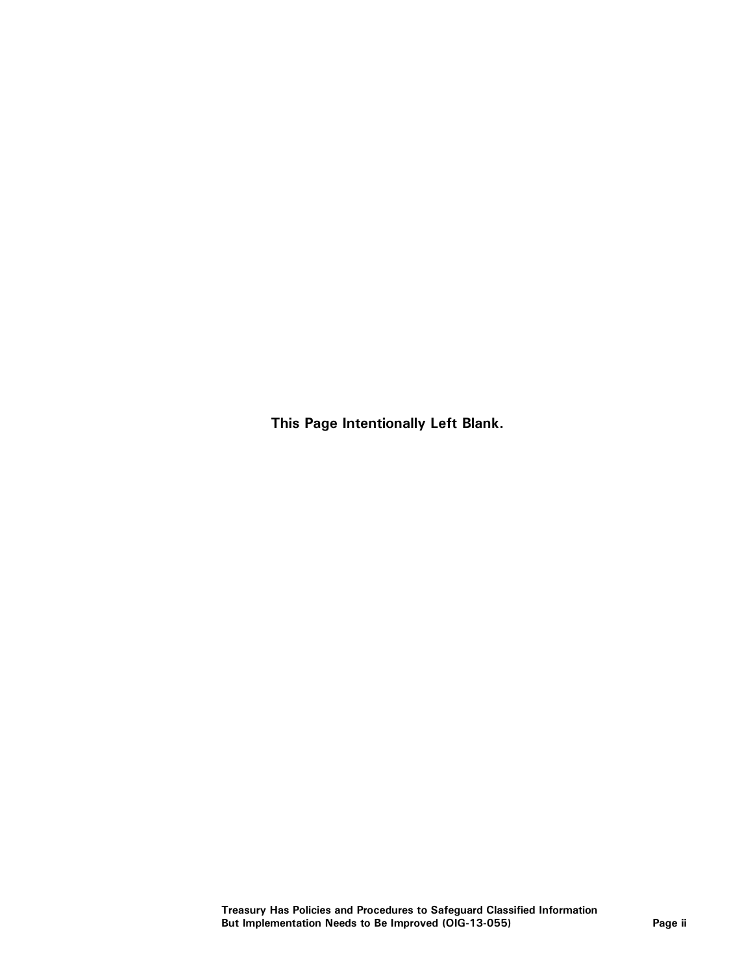**This Page Intentionally Left Blank.**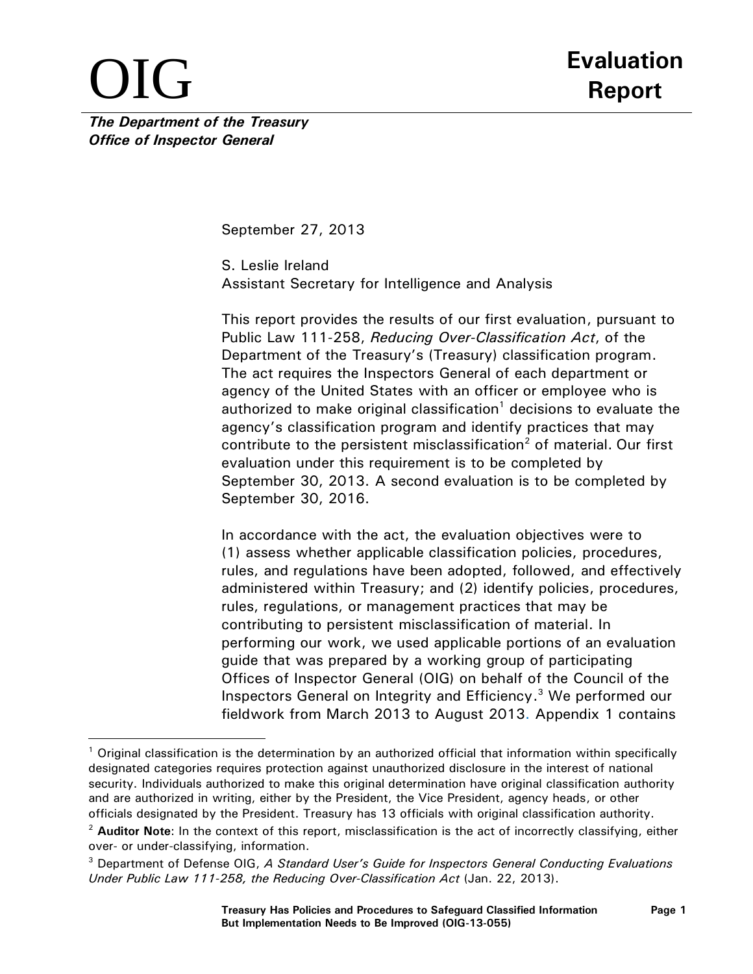# OIG **Evaluation**

 $\overline{a}$ 

*The Department of the Treasury Office of Inspector General*

September 27, 2013

S. Leslie Ireland Assistant Secretary for Intelligence and Analysis

This report provides the results of our first evaluation, pursuant to Public Law 111-258, *Reducing Over-Classification Act*, of the Department of the Treasury's (Treasury) classification program. The act requires the Inspectors General of each department or agency of the United States with an officer or employee who is authorized to make original classification<sup>1</sup> decisions to evaluate the agency's classification program and identify practices that may contribute to the persistent misclassification<sup>2</sup> of material. Our first evaluation under this requirement is to be completed by September 30, 2013. A second evaluation is to be completed by September 30, 2016.

In accordance with the act, the evaluation objectives were to (1) assess whether applicable classification policies, procedures, rules, and regulations have been adopted, followed, and effectively administered within Treasury; and (2) identify policies, procedures, rules, regulations, or management practices that may be contributing to persistent misclassification of material. In performing our work, we used applicable portions of an evaluation guide that was prepared by a working group of participating Offices of Inspector General (OIG) on behalf of the Council of the Inspectors General on Integrity and Efficiency. <sup>3</sup> We performed our fieldwork from March 2013 to August 2013. Appendix 1 contains

 $<sup>1</sup>$  Original classification is the determination by an authorized official that information within specifically</sup> designated categories requires protection against unauthorized disclosure in the interest of national security. Individuals authorized to make this original determination have original classification authority and are authorized in writing, either by the President, the Vice President, agency heads, or other officials designated by the President. Treasury has 13 officials with original classification authority.

<sup>&</sup>lt;sup>2</sup> Auditor Note: In the context of this report, misclassification is the act of incorrectly classifying, either over- or under-classifying, information.

<sup>3</sup> Department of Defense OIG, *A Standard User's Guide for Inspectors General Conducting Evaluations Under Public Law 111-258, the Reducing Over-Classification Act* (Jan. 22, 2013).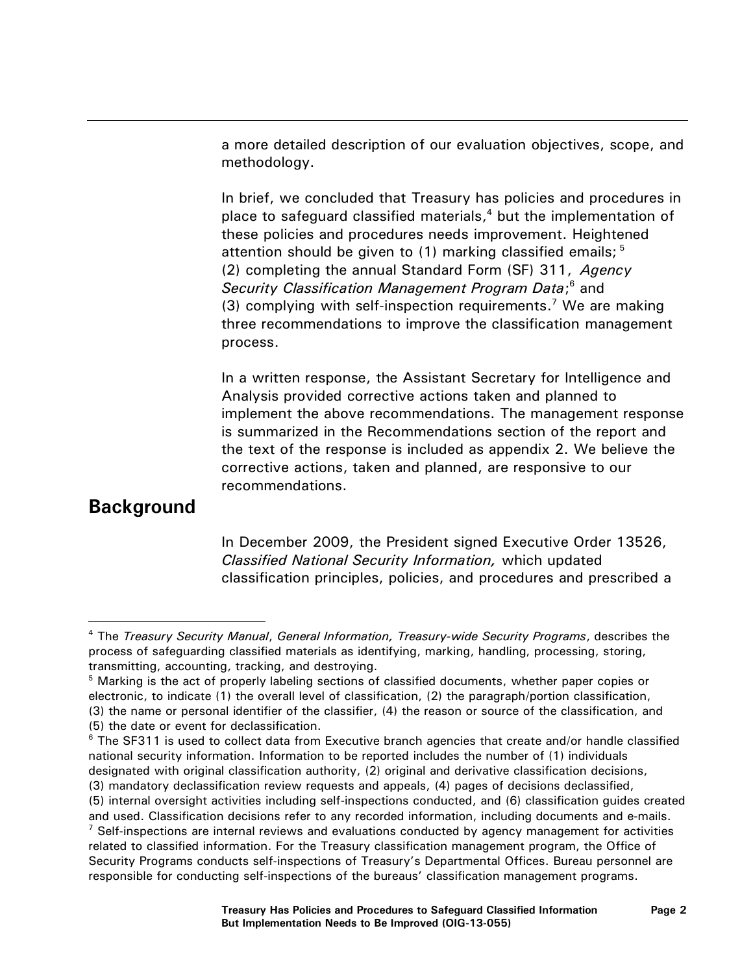a more detailed description of our evaluation objectives, scope, and methodology.

In brief, we concluded that Treasury has policies and procedures in place to safeguard classified materials, <sup>4</sup> but the implementation of these policies and procedures needs improvement. Heightened attention should be given to (1) marking classified emails; <sup>5</sup> (2) completing the annual Standard Form (SF) 311, *Agency*  Security Classification Management Program Data;<sup>6</sup> and (3) complying with self-inspection requirements. <sup>7</sup> We are making three recommendations to improve the classification management process.

In a written response, the Assistant Secretary for Intelligence and Analysis provided corrective actions taken and planned to implement the above recommendations. The management response is summarized in the Recommendations section of the report and the text of the response is included as appendix 2. We believe the corrective actions, taken and planned, are responsive to our recommendations.

#### **Background**

 $\overline{a}$ 

In December 2009, the President signed Executive Order 13526, *Classified National Security Information,* which updated classification principles, policies, and procedures and prescribed a

<sup>4</sup> The *Treasury Security Manual*, *General Information, Treasury-wide Security Programs*, describes the process of safeguarding classified materials as identifying, marking, handling, processing, storing, transmitting, accounting, tracking, and destroying.

<sup>&</sup>lt;sup>5</sup> Marking is the act of properly labeling sections of classified documents, whether paper copies or electronic, to indicate (1) the overall level of classification, (2) the paragraph/portion classification, (3) the name or personal identifier of the classifier, (4) the reason or source of the classification, and (5) the date or event for declassification.

 $6$  The SF311 is used to collect data from Executive branch agencies that create and/or handle classified national security information. Information to be reported includes the number of (1) individuals designated with original classification authority, (2) original and derivative classification decisions, (3) mandatory declassification review requests and appeals, (4) pages of decisions declassified, (5) internal oversight activities including self-inspections conducted, and (6) classification guides created and used. Classification decisions refer to any recorded information, including documents and e-mails.  $7$  Self-inspections are internal reviews and evaluations conducted by agency management for activities related to classified information. For the Treasury classification management program, the Office of Security Programs conducts self-inspections of Treasury's Departmental Offices. Bureau personnel are responsible for conducting self-inspections of the bureaus' classification management programs.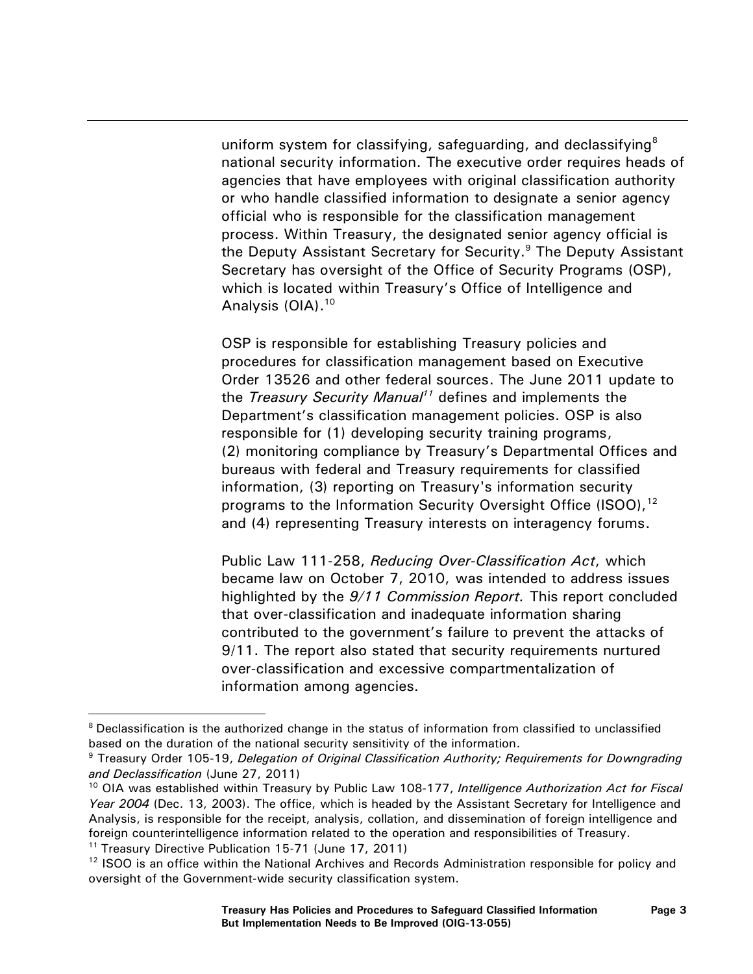uniform system for classifying, safeguarding, and declassifying<sup>8</sup> national security information. The executive order requires heads of agencies that have employees with original classification authority or who handle classified information to designate a senior agency official who is responsible for the classification management process. Within Treasury, the designated senior agency official is the Deputy Assistant Secretary for Security.<sup>9</sup> The Deputy Assistant Secretary has oversight of the Office of Security Programs (OSP), which is located within Treasury's Office of Intelligence and Analysis (OIA).<sup>10</sup>

OSP is responsible for establishing Treasury policies and procedures for classification management based on Executive Order 13526 and other federal sources. The June 2011 update to the *Treasury Security Manual<sup>11</sup>* defines and implements the Department's classification management policies. OSP is also responsible for (1) developing security training programs, (2) monitoring compliance by Treasury's Departmental Offices and bureaus with federal and Treasury requirements for classified information, (3) reporting on Treasury's information security programs to the Information Security Oversight Office (ISOO),<sup>12</sup> and (4) representing Treasury interests on interagency forums.

Public Law 111-258, *Reducing Over-Classification Act*, which became law on October 7, 2010, was intended to address issues highlighted by the *9/11 Commission Report.* This report concluded that over-classification and inadequate information sharing contributed to the government's failure to prevent the attacks of 9/11. The report also stated that security requirements nurtured over-classification and excessive compartmentalization of information among agencies.

 $\overline{a}$ 

<sup>&</sup>lt;sup>8</sup> Declassification is the authorized change in the status of information from classified to unclassified based on the duration of the national security sensitivity of the information.

<sup>9</sup> Treasury Order 105-19, *Delegation of Original Classification Authority; Requirements for Downgrading and Declassification* (June 27, 2011)

<sup>10</sup> OIA was established within Treasury by Public Law 108-177, *Intelligence Authorization Act for Fiscal Year 2004* (Dec. 13, 2003). The office, which is headed by the Assistant Secretary for Intelligence and Analysis, is responsible for the receipt, analysis, collation, and dissemination of foreign intelligence and foreign counterintelligence information related to the operation and responsibilities of Treasury. <sup>11</sup> Treasury Directive Publication 15-71 (June 17, 2011)

<sup>&</sup>lt;sup>12</sup> ISOO is an office within the National Archives and Records Administration responsible for policy and oversight of the Government-wide security classification system.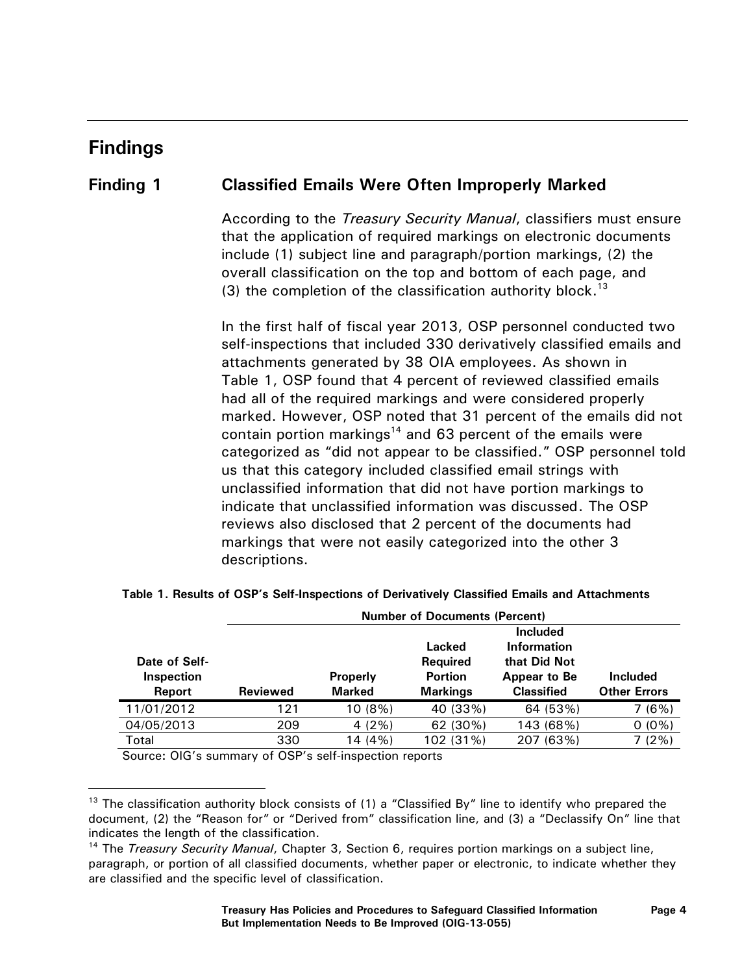#### **Findings**

 $\overline{a}$ 

#### **Finding 1 Classified Emails Were Often Improperly Marked**

According to the *Treasury Security Manual*, classifiers must ensure that the application of required markings on electronic documents include (1) subject line and paragraph/portion markings, (2) the overall classification on the top and bottom of each page, and (3) the completion of the classification authority block.<sup>13</sup>

In the first half of fiscal year 2013, OSP personnel conducted two self-inspections that included 330 derivatively classified emails and attachments generated by 38 OIA employees. As shown in Table 1, OSP found that 4 percent of reviewed classified emails had all of the required markings and were considered properly marked. However, OSP noted that 31 percent of the emails did not contain portion markings<sup>14</sup> and 63 percent of the emails were categorized as "did not appear to be classified." OSP personnel told us that this category included classified email strings with unclassified information that did not have portion markings to indicate that unclassified information was discussed. The OSP reviews also disclosed that 2 percent of the documents had markings that were not easily categorized into the other 3 descriptions.

|               | <b>Number of Documents (Percent)</b> |                 |                 |                   |                     |
|---------------|--------------------------------------|-----------------|-----------------|-------------------|---------------------|
|               |                                      |                 |                 | <b>Included</b>   |                     |
|               |                                      |                 | Lacked          | Information       |                     |
| Date of Self- |                                      |                 | <b>Required</b> | that Did Not      |                     |
| Inspection    |                                      | <b>Properly</b> | <b>Portion</b>  | Appear to Be      | <b>Included</b>     |
| Report        | <b>Reviewed</b>                      | <b>Marked</b>   | <b>Markings</b> | <b>Classified</b> | <b>Other Errors</b> |
| 11/01/2012    | 121                                  | 10 (8%)         | 40 (33%)        | 64 (53%)          | 7 (6%)              |
| 04/05/2013    | 209                                  | 4 $(2%)$        | 62 (30%)        | 143 (68%)         | $0(0\%)$            |
| Total         | 330                                  | 14 (4%)         | 102 (31%)       | 207 (63%)         | 7 (2%)              |

**Table 1. Results of OSP's Self-Inspections of Derivatively Classified Emails and Attachments**

Source**:** OIG's summary of OSP's self-inspection reports

<sup>&</sup>lt;sup>13</sup> The classification authority block consists of  $(1)$  a "Classified By" line to identify who prepared the document, (2) the "Reason for" or "Derived from" classification line, and (3) a "Declassify On" line that indicates the length of the classification.

<sup>14</sup> The *Treasury Security Manual*, Chapter 3, Section 6, requires portion markings on a subject line, paragraph, or portion of all classified documents, whether paper or electronic, to indicate whether they are classified and the specific level of classification.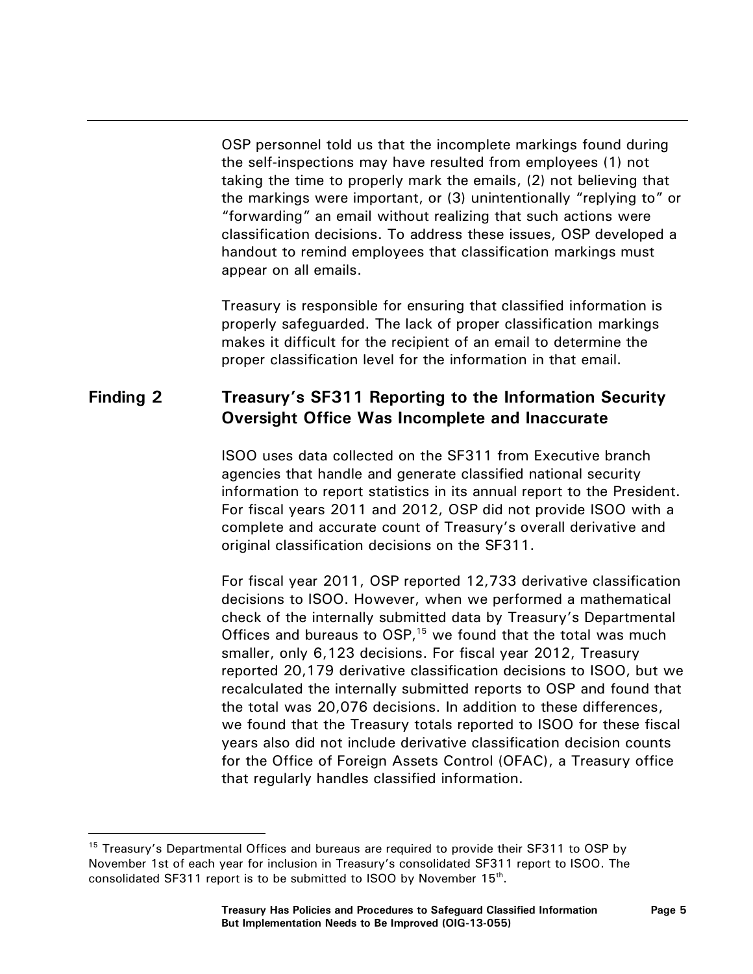OSP personnel told us that the incomplete markings found during the self-inspections may have resulted from employees (1) not taking the time to properly mark the emails, (2) not believing that the markings were important, or (3) unintentionally "replying to" or "forwarding" an email without realizing that such actions were classification decisions. To address these issues, OSP developed a handout to remind employees that classification markings must appear on all emails.

Treasury is responsible for ensuring that classified information is properly safeguarded. The lack of proper classification markings makes it difficult for the recipient of an email to determine the proper classification level for the information in that email.

#### **Finding 2 Treasury's SF311 Reporting to the Information Security Oversight Office Was Incomplete and Inaccurate**

ISOO uses data collected on the SF311 from Executive branch agencies that handle and generate classified national security information to report statistics in its annual report to the President. For fiscal years 2011 and 2012, OSP did not provide ISOO with a complete and accurate count of Treasury's overall derivative and original classification decisions on the SF311.

For fiscal year 2011, OSP reported 12,733 derivative classification decisions to ISOO. However, when we performed a mathematical check of the internally submitted data by Treasury's Departmental Offices and bureaus to OSP,<sup>15</sup> we found that the total was much smaller, only 6,123 decisions. For fiscal year 2012, Treasury reported 20,179 derivative classification decisions to ISOO, but we recalculated the internally submitted reports to OSP and found that the total was 20,076 decisions. In addition to these differences, we found that the Treasury totals reported to ISOO for these fiscal years also did not include derivative classification decision counts for the Office of Foreign Assets Control (OFAC), a Treasury office that regularly handles classified information.

 $\overline{a}$ 

<sup>&</sup>lt;sup>15</sup> Treasury's Departmental Offices and bureaus are required to provide their SF311 to OSP by November 1st of each year for inclusion in Treasury's consolidated SF311 report to ISOO. The consolidated SF311 report is to be submitted to ISOO by November 15<sup>th</sup>.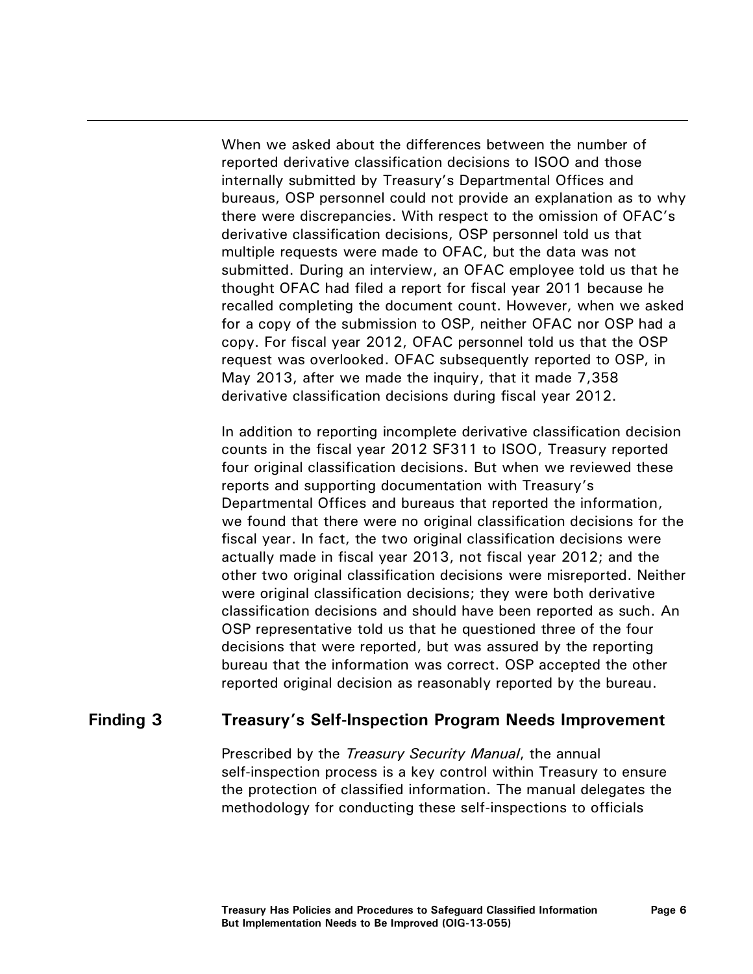When we asked about the differences between the number of reported derivative classification decisions to ISOO and those internally submitted by Treasury's Departmental Offices and bureaus, OSP personnel could not provide an explanation as to why there were discrepancies. With respect to the omission of OFAC's derivative classification decisions, OSP personnel told us that multiple requests were made to OFAC, but the data was not submitted. During an interview, an OFAC employee told us that he thought OFAC had filed a report for fiscal year 2011 because he recalled completing the document count. However, when we asked for a copy of the submission to OSP, neither OFAC nor OSP had a copy. For fiscal year 2012, OFAC personnel told us that the OSP request was overlooked. OFAC subsequently reported to OSP, in May 2013, after we made the inquiry, that it made 7,358 derivative classification decisions during fiscal year 2012.

In addition to reporting incomplete derivative classification decision counts in the fiscal year 2012 SF311 to ISOO, Treasury reported four original classification decisions. But when we reviewed these reports and supporting documentation with Treasury's Departmental Offices and bureaus that reported the information, we found that there were no original classification decisions for the fiscal year. In fact, the two original classification decisions were actually made in fiscal year 2013, not fiscal year 2012; and the other two original classification decisions were misreported. Neither were original classification decisions; they were both derivative classification decisions and should have been reported as such. An OSP representative told us that he questioned three of the four decisions that were reported, but was assured by the reporting bureau that the information was correct. OSP accepted the other reported original decision as reasonably reported by the bureau.

#### **Finding 3 Treasury's Self-Inspection Program Needs Improvement**

Prescribed by the *Treasury Security Manual*, the annual self-inspection process is a key control within Treasury to ensure the protection of classified information. The manual delegates the methodology for conducting these self-inspections to officials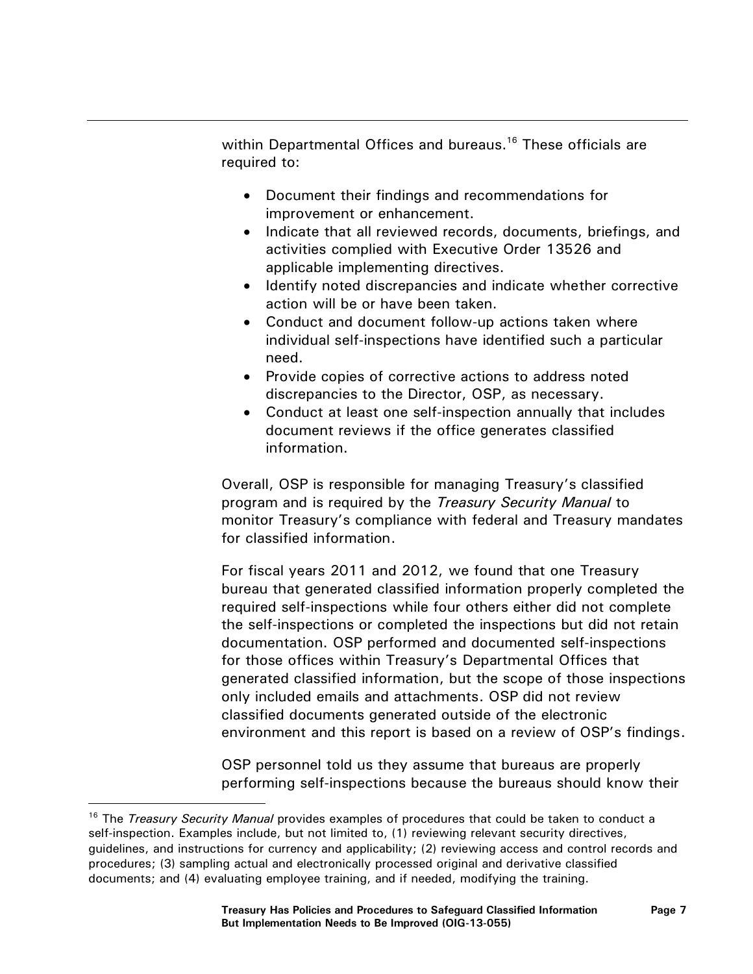within Departmental Offices and bureaus.<sup>16</sup> These officials are required to:

- Document their findings and recommendations for improvement or enhancement.
- Indicate that all reviewed records, documents, briefings, and activities complied with Executive Order 13526 and applicable implementing directives.
- Identify noted discrepancies and indicate whether corrective action will be or have been taken.
- Conduct and document follow-up actions taken where individual self-inspections have identified such a particular need.
- Provide copies of corrective actions to address noted discrepancies to the Director, OSP, as necessary.
- Conduct at least one self-inspection annually that includes document reviews if the office generates classified information.

Overall, OSP is responsible for managing Treasury's classified program and is required by the *Treasury Security Manual* to monitor Treasury's compliance with federal and Treasury mandates for classified information.

For fiscal years 2011 and 2012, we found that one Treasury bureau that generated classified information properly completed the required self-inspections while four others either did not complete the self-inspections or completed the inspections but did not retain documentation. OSP performed and documented self-inspections for those offices within Treasury's Departmental Offices that generated classified information, but the scope of those inspections only included emails and attachments. OSP did not review classified documents generated outside of the electronic environment and this report is based on a review of OSP's findings.

OSP personnel told us they assume that bureaus are properly performing self-inspections because the bureaus should know their

 $\overline{a}$ 

<sup>&</sup>lt;sup>16</sup> The *Treasury Security Manual* provides examples of procedures that could be taken to conduct a self-inspection. Examples include, but not limited to, (1) reviewing relevant security directives, guidelines, and instructions for currency and applicability; (2) reviewing access and control records and procedures; (3) sampling actual and electronically processed original and derivative classified documents; and (4) evaluating employee training, and if needed, modifying the training.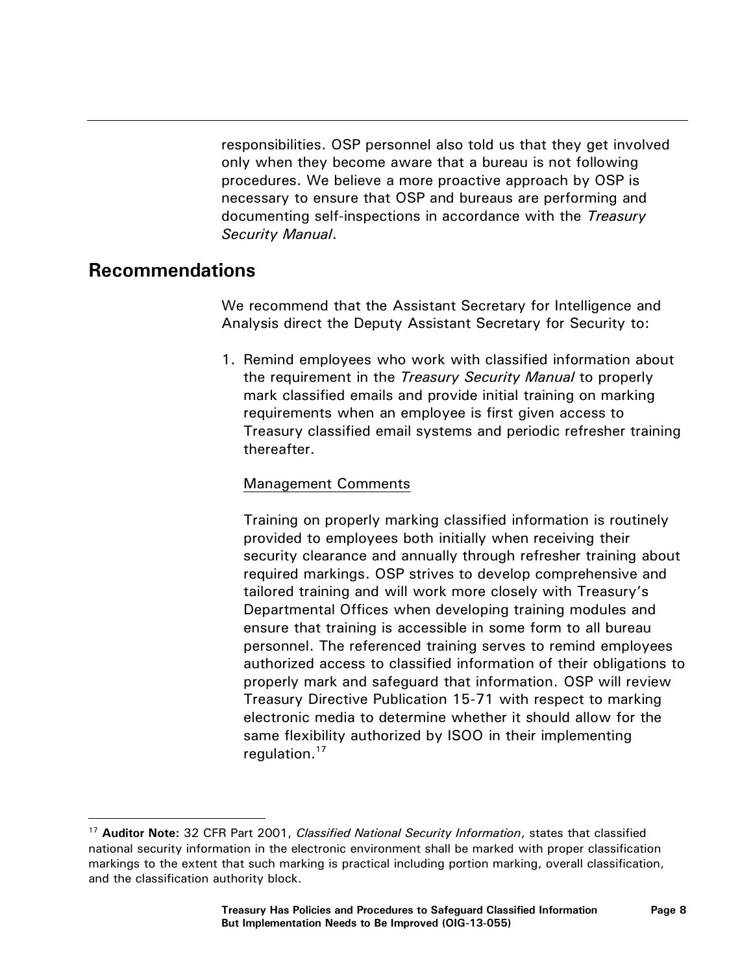responsibilities. OSP personnel also told us that they get involved only when they become aware that a bureau is not following procedures. We believe a more proactive approach by OSP is necessary to ensure that OSP and bureaus are performing and documenting self-inspections in accordance with the *Treasury Security Manual*.

#### **Recommendations**

 $\overline{a}$ 

We recommend that the Assistant Secretary for Intelligence and Analysis direct the Deputy Assistant Secretary for Security to:

1. Remind employees who work with classified information about the requirement in the *Treasury Security Manual* to properly mark classified emails and provide initial training on marking requirements when an employee is first given access to Treasury classified email systems and periodic refresher training thereafter.

#### Management Comments

Training on properly marking classified information is routinely provided to employees both initially when receiving their security clearance and annually through refresher training about required markings. OSP strives to develop comprehensive and tailored training and will work more closely with Treasury's Departmental Offices when developing training modules and ensure that training is accessible in some form to all bureau personnel. The referenced training serves to remind employees authorized access to classified information of their obligations to properly mark and safeguard that information. OSP will review Treasury Directive Publication 15-71 with respect to marking electronic media to determine whether it should allow for the same flexibility authorized by ISOO in their implementing regulation.<sup>17</sup>

<sup>17</sup> **Auditor Note:** 32 CFR Part 2001, *Classified National Security Information*, states that classified national security information in the electronic environment shall be marked with proper classification markings to the extent that such marking is practical including portion marking, overall classification, and the classification authority block.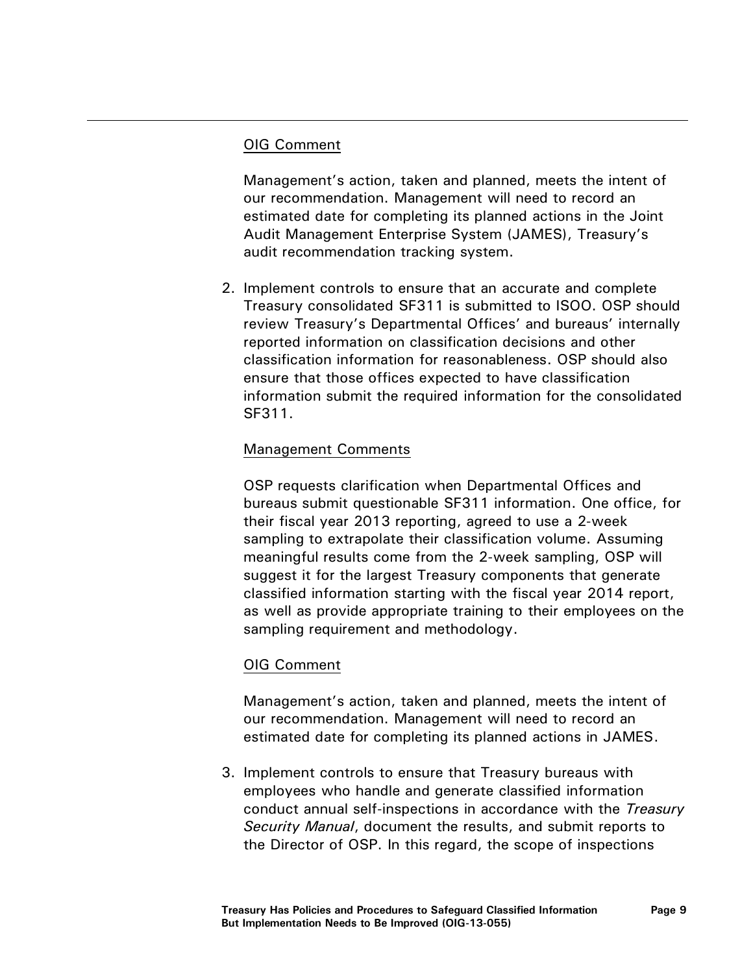#### OIG Comment

Management's action, taken and planned, meets the intent of our recommendation. Management will need to record an estimated date for completing its planned actions in the Joint Audit Management Enterprise System (JAMES), Treasury's audit recommendation tracking system.

2. Implement controls to ensure that an accurate and complete Treasury consolidated SF311 is submitted to ISOO. OSP should review Treasury's Departmental Offices' and bureaus' internally reported information on classification decisions and other classification information for reasonableness. OSP should also ensure that those offices expected to have classification information submit the required information for the consolidated SF311.

#### Management Comments

OSP requests clarification when Departmental Offices and bureaus submit questionable SF311 information. One office, for their fiscal year 2013 reporting, agreed to use a 2-week sampling to extrapolate their classification volume. Assuming meaningful results come from the 2-week sampling, OSP will suggest it for the largest Treasury components that generate classified information starting with the fiscal year 2014 report, as well as provide appropriate training to their employees on the sampling requirement and methodology.

#### OIG Comment

Management's action, taken and planned, meets the intent of our recommendation. Management will need to record an estimated date for completing its planned actions in JAMES.

3. Implement controls to ensure that Treasury bureaus with employees who handle and generate classified information conduct annual self-inspections in accordance with the *Treasury Security Manual*, document the results, and submit reports to the Director of OSP. In this regard, the scope of inspections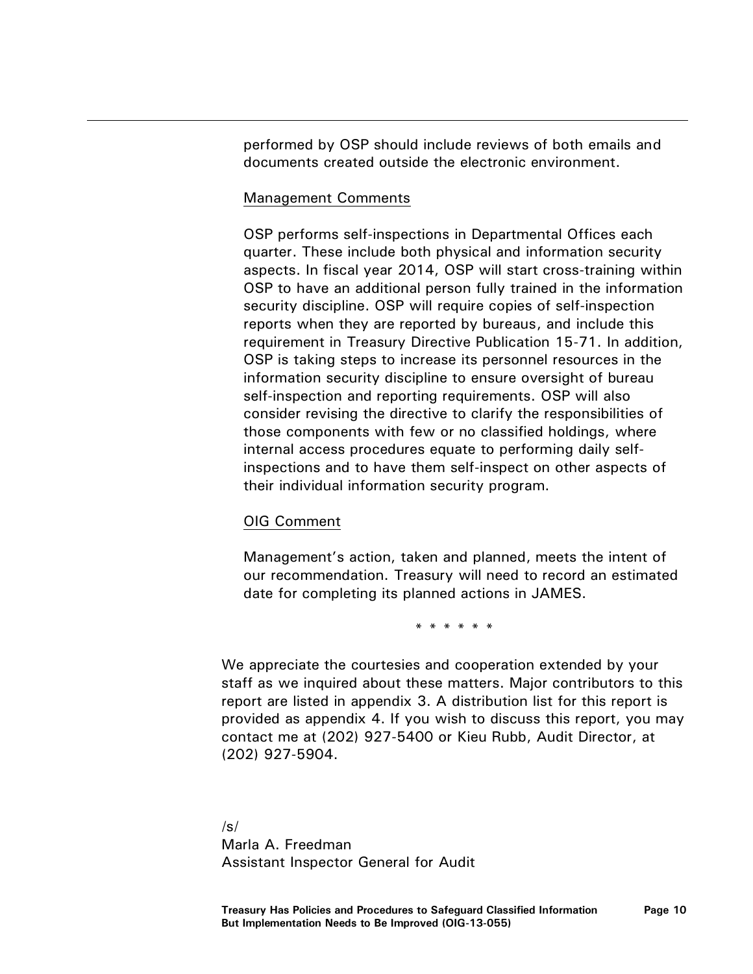performed by OSP should include reviews of both emails and documents created outside the electronic environment.

#### Management Comments

OSP performs self-inspections in Departmental Offices each quarter. These include both physical and information security aspects. In fiscal year 2014, OSP will start cross-training within OSP to have an additional person fully trained in the information security discipline. OSP will require copies of self-inspection reports when they are reported by bureaus, and include this requirement in Treasury Directive Publication 15-71. In addition, OSP is taking steps to increase its personnel resources in the information security discipline to ensure oversight of bureau self-inspection and reporting requirements. OSP will also consider revising the directive to clarify the responsibilities of those components with few or no classified holdings, where internal access procedures equate to performing daily selfinspections and to have them self-inspect on other aspects of their individual information security program.

#### OIG Comment

Management's action, taken and planned, meets the intent of our recommendation. Treasury will need to record an estimated date for completing its planned actions in JAMES.

\* \* \* \* \* \*

We appreciate the courtesies and cooperation extended by your staff as we inquired about these matters. Major contributors to this report are listed in appendix 3. A distribution list for this report is provided as appendix 4. If you wish to discuss this report, you may contact me at (202) 927-5400 or Kieu Rubb, Audit Director, at (202) 927-5904.

/s/ Marla A. Freedman Assistant Inspector General for Audit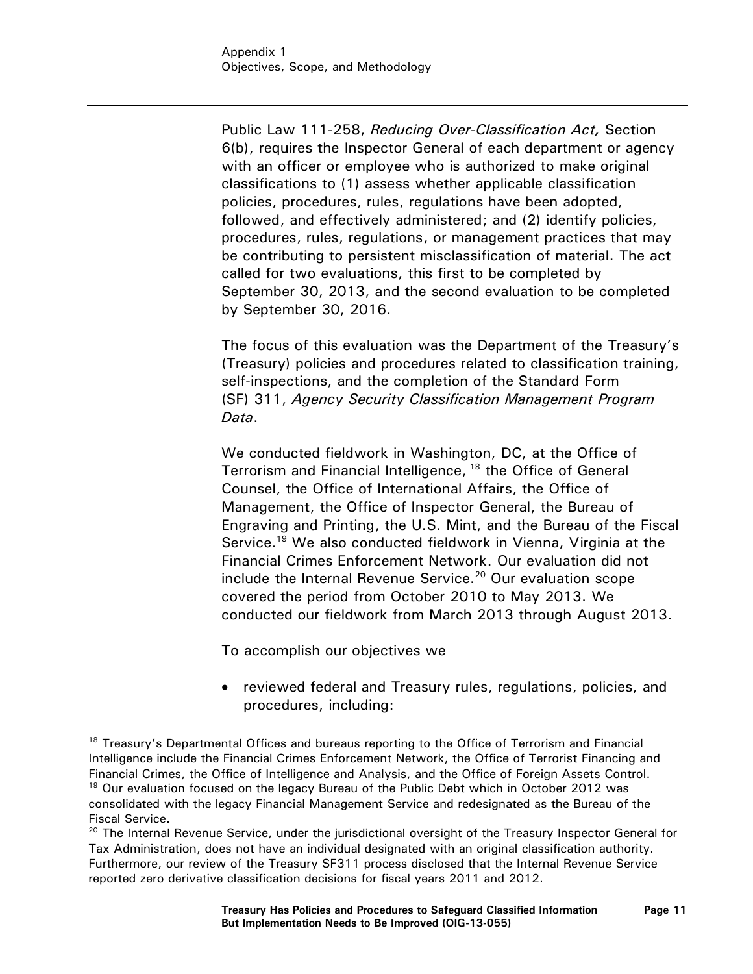Public Law 111-258, *Reducing Over-Classification Act,* Section 6(b), requires the Inspector General of each department or agency with an officer or employee who is authorized to make original classifications to (1) assess whether applicable classification policies, procedures, rules, regulations have been adopted, followed, and effectively administered; and (2) identify policies, procedures, rules, regulations, or management practices that may be contributing to persistent misclassification of material. The act called for two evaluations, this first to be completed by September 30, 2013, and the second evaluation to be completed by September 30, 2016.

The focus of this evaluation was the Department of the Treasury's (Treasury) policies and procedures related to classification training, self-inspections, and the completion of the Standard Form (SF) 311, *Agency Security Classification Management Program Data*.

We conducted fieldwork in Washington, DC, at the Office of Terrorism and Financial Intelligence, <sup>18</sup> the Office of General Counsel, the Office of International Affairs, the Office of Management, the Office of Inspector General, the Bureau of Engraving and Printing, the U.S. Mint, and the Bureau of the Fiscal Service.<sup>19</sup> We also conducted fieldwork in Vienna, Virginia at the Financial Crimes Enforcement Network. Our evaluation did not include the Internal Revenue Service.<sup>20</sup> Our evaluation scope covered the period from October 2010 to May 2013. We conducted our fieldwork from March 2013 through August 2013.

To accomplish our objectives we

 $\overline{a}$ 

 reviewed federal and Treasury rules, regulations, policies, and procedures, including:

<sup>&</sup>lt;sup>18</sup> Treasury's Departmental Offices and bureaus reporting to the Office of Terrorism and Financial Intelligence include the Financial Crimes Enforcement Network, the Office of Terrorist Financing and Financial Crimes, the Office of Intelligence and Analysis, and the Office of Foreign Assets Control. <sup>19</sup> Our evaluation focused on the legacy Bureau of the Public Debt which in October 2012 was consolidated with the legacy Financial Management Service and redesignated as the Bureau of the Fiscal Service.

<sup>&</sup>lt;sup>20</sup> The Internal Revenue Service, under the jurisdictional oversight of the Treasury Inspector General for Tax Administration, does not have an individual designated with an original classification authority. Furthermore, our review of the Treasury SF311 process disclosed that the Internal Revenue Service reported zero derivative classification decisions for fiscal years 2011 and 2012.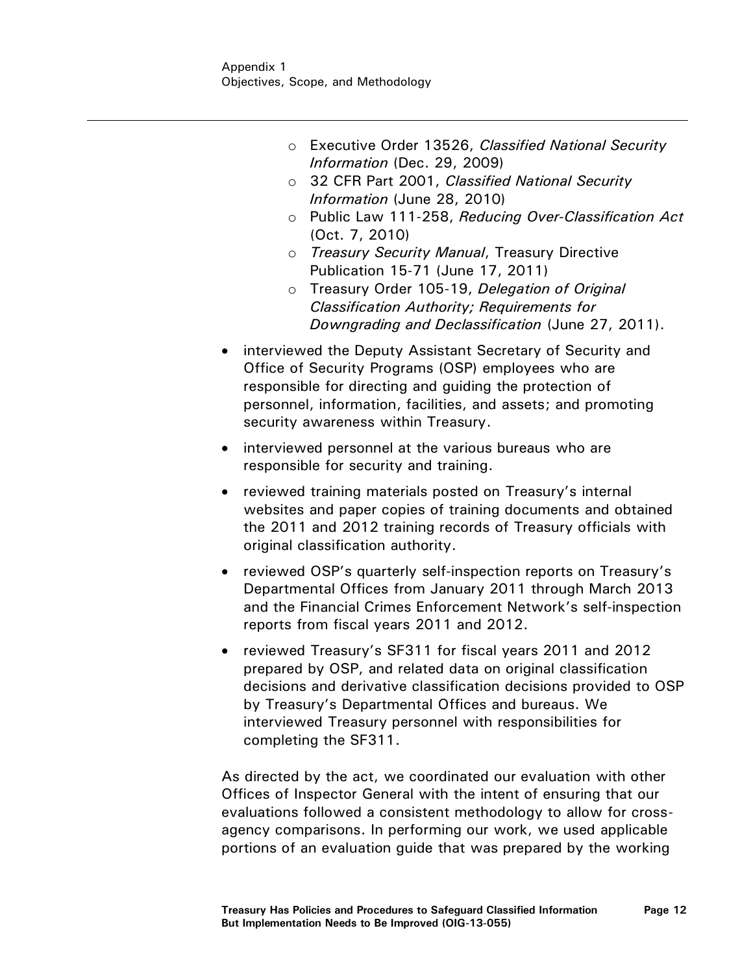- o Executive Order 13526, *Classified National Security Information* (Dec. 29, 2009)
- o 32 CFR Part 2001, *Classified National Security Information* (June 28, 2010)
- o Public Law 111-258, *Reducing Over-Classification Act* (Oct. 7, 2010)
- o *Treasury Security Manual*, Treasury Directive Publication 15-71 (June 17, 2011)
- o Treasury Order 105-19, *Delegation of Original Classification Authority; Requirements for Downgrading and Declassification* (June 27, 2011).
- interviewed the Deputy Assistant Secretary of Security and Office of Security Programs (OSP) employees who are responsible for directing and guiding the protection of personnel, information, facilities, and assets; and promoting security awareness within Treasury.
- interviewed personnel at the various bureaus who are responsible for security and training.
- reviewed training materials posted on Treasury's internal websites and paper copies of training documents and obtained the 2011 and 2012 training records of Treasury officials with original classification authority.
- reviewed OSP's quarterly self-inspection reports on Treasury's Departmental Offices from January 2011 through March 2013 and the Financial Crimes Enforcement Network's self-inspection reports from fiscal years 2011 and 2012.
- reviewed Treasury's SF311 for fiscal years 2011 and 2012 prepared by OSP, and related data on original classification decisions and derivative classification decisions provided to OSP by Treasury's Departmental Offices and bureaus. We interviewed Treasury personnel with responsibilities for completing the SF311.

As directed by the act, we coordinated our evaluation with other Offices of Inspector General with the intent of ensuring that our evaluations followed a consistent methodology to allow for crossagency comparisons. In performing our work, we used applicable portions of an evaluation guide that was prepared by the working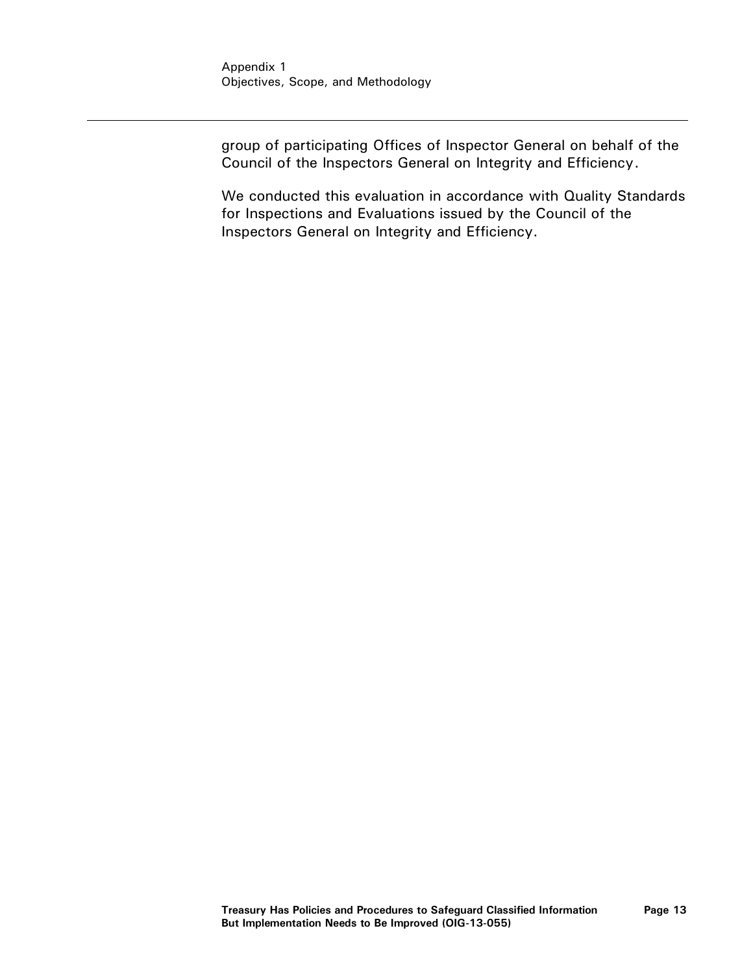group of participating Offices of Inspector General on behalf of the Council of the Inspectors General on Integrity and Efficiency.

We conducted this evaluation in accordance with Quality Standards for Inspections and Evaluations issued by the Council of the Inspectors General on Integrity and Efficiency.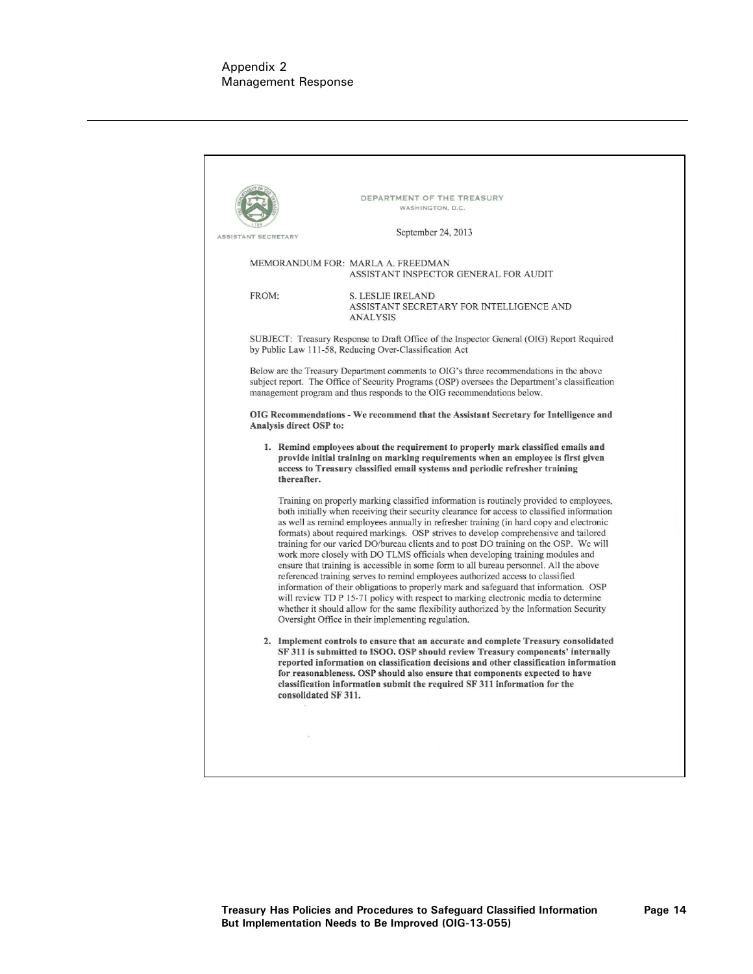|                     |                         | DEPARTMENT OF THE TREASURY<br>WASHINGTON, D.C.                                                                                                                                         |  |
|---------------------|-------------------------|----------------------------------------------------------------------------------------------------------------------------------------------------------------------------------------|--|
|                     |                         |                                                                                                                                                                                        |  |
| ASSISTANT SECRETARY |                         | September 24, 2013                                                                                                                                                                     |  |
|                     |                         |                                                                                                                                                                                        |  |
|                     |                         | MEMORANDUM FOR: MARLA A. FREEDMAN<br>ASSISTANT INSPECTOR GENERAL FOR AUDIT                                                                                                             |  |
| FROM:               |                         | S. LESLIE IRELAND<br>ASSISTANT SECRETARY FOR INTELLIGENCE AND                                                                                                                          |  |
|                     |                         | <b>ANALYSIS</b>                                                                                                                                                                        |  |
|                     |                         | SUBJECT: Treasury Response to Draft Office of the Inspector General (OIG) Report Required<br>by Public Law 111-58, Reducing Over-Classification Act                                    |  |
|                     |                         | Below are the Treasury Department comments to OIG's three recommendations in the above                                                                                                 |  |
|                     |                         | subject report. The Office of Security Programs (OSP) oversees the Department's classification<br>management program and thus responds to the OIG recommendations below.               |  |
|                     | Analysis direct OSP to: | OIG Recommendations - We recommend that the Assistant Secretary for Intelligence and                                                                                                   |  |
|                     |                         | 1. Remind employees about the requirement to properly mark classified emails and                                                                                                       |  |
|                     | thereafter.             | provide initial training on marking requirements when an employee is first given<br>access to Treasury classified email systems and periodic refresher training                        |  |
|                     |                         |                                                                                                                                                                                        |  |
|                     |                         | Training on properly marking classified information is routinely provided to employees,<br>both initially when receiving their security clearance for access to classified information |  |
|                     |                         | as well as remind employees annually in refresher training (in hard copy and electronic<br>formats) about required markings. OSP strives to develop comprehensive and tailored         |  |
|                     |                         | training for our varied DO/bureau clients and to post DO training on the OSP. We will                                                                                                  |  |
|                     |                         | work more closely with DO TLMS officials when developing training modules and<br>ensure that training is accessible in some form to all bureau personnel. All the above                |  |
|                     |                         | referenced training serves to remind employees authorized access to classified                                                                                                         |  |
|                     |                         | information of their obligations to properly mark and safeguard that information. OSP<br>will review TD P 15-71 policy with respect to marking electronic media to determine           |  |
|                     |                         | whether it should allow for the same flexibility authorized by the Information Security                                                                                                |  |
|                     |                         | Oversight Office in their implementing regulation.                                                                                                                                     |  |
|                     |                         | 2. Implement controls to ensure that an accurate and complete Treasury consolidated<br>SF 311 is submitted to ISOO. OSP should review Treasury components' internally                  |  |
|                     |                         | reported information on classification decisions and other classification information                                                                                                  |  |
|                     |                         | for reasonableness. OSP should also ensure that components expected to have<br>classification information submit the required SF 311 information for the                               |  |
|                     | consolidated SF 311.    |                                                                                                                                                                                        |  |
|                     |                         |                                                                                                                                                                                        |  |
|                     |                         |                                                                                                                                                                                        |  |
|                     |                         |                                                                                                                                                                                        |  |
|                     |                         |                                                                                                                                                                                        |  |
|                     |                         |                                                                                                                                                                                        |  |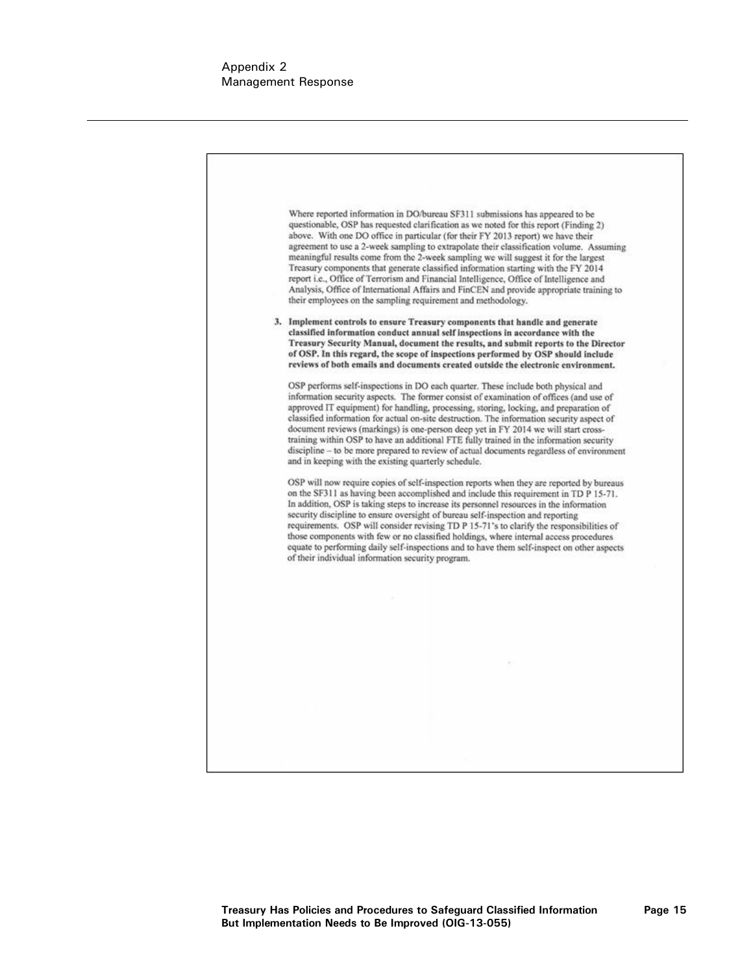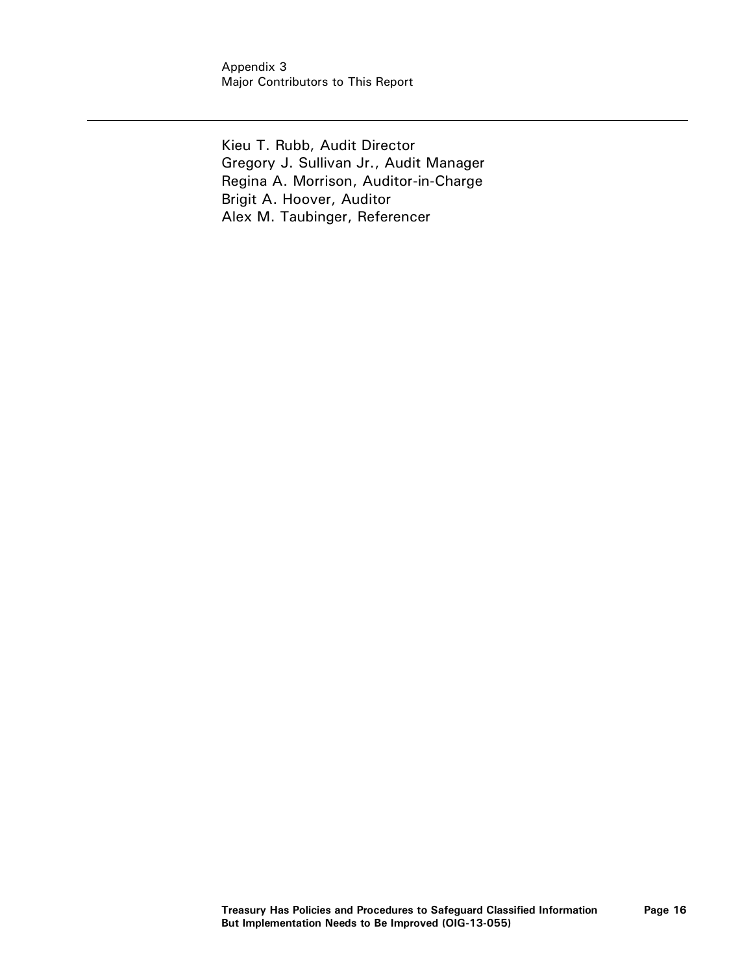Appendix 3 Major Contributors to This Report

Kieu T. Rubb, Audit Director Gregory J. Sullivan Jr., Audit Manager Regina A. Morrison, Auditor-in-Charge Brigit A. Hoover, Auditor Alex M. Taubinger, Referencer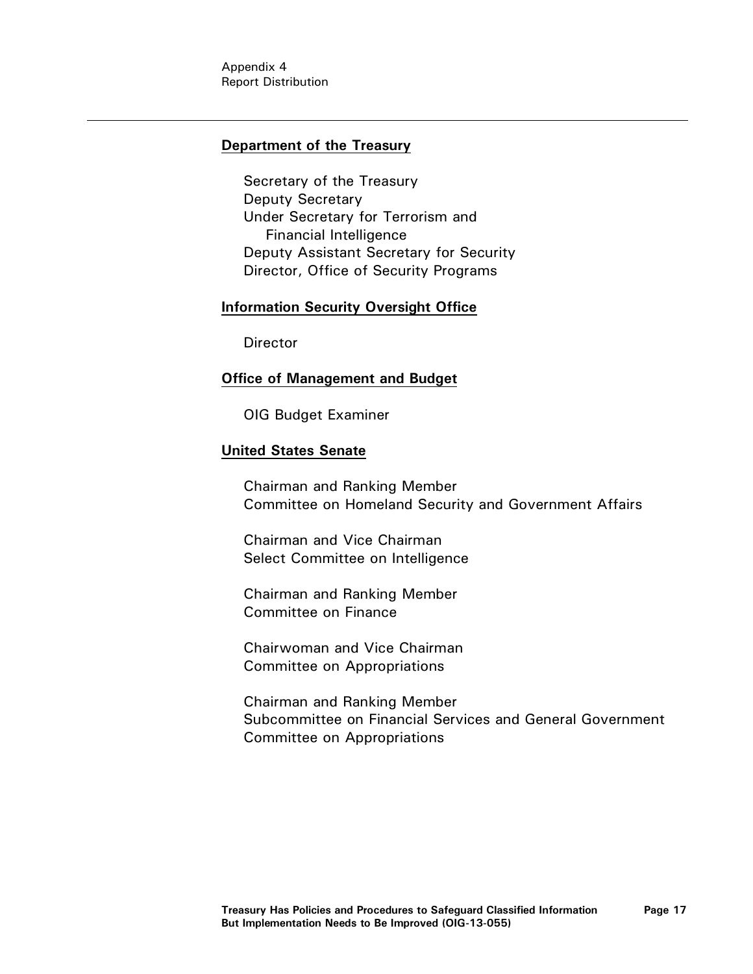Appendix 4 Report Distribution

#### **Department of the Treasury**

Secretary of the Treasury Deputy Secretary Under Secretary for Terrorism and Financial Intelligence Deputy Assistant Secretary for Security Director, Office of Security Programs

#### **Information Security Oversight Office**

**Director** 

#### **Office of Management and Budget**

OIG Budget Examiner

#### **United States Senate**

Chairman and Ranking Member Committee on Homeland Security and Government Affairs

Chairman and Vice Chairman Select Committee on Intelligence

Chairman and Ranking Member Committee on Finance

Chairwoman and Vice Chairman Committee on Appropriations

Chairman and Ranking Member Subcommittee on Financial Services and General Government Committee on Appropriations